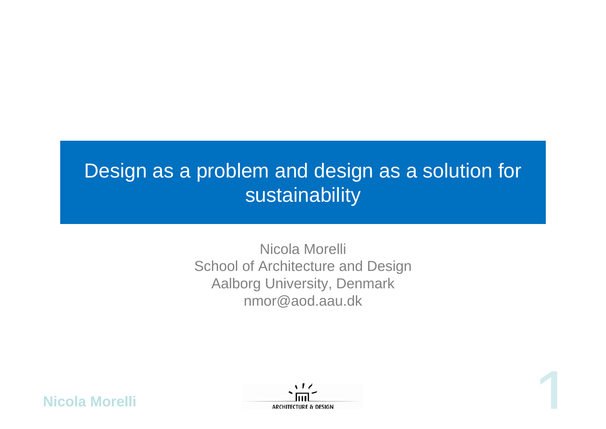# Design as a problem and design as a solution for **sustainability**

Nicola Morelli School of Architecture and Design Aalborg University, Denmark nmor@aod.aau.dk



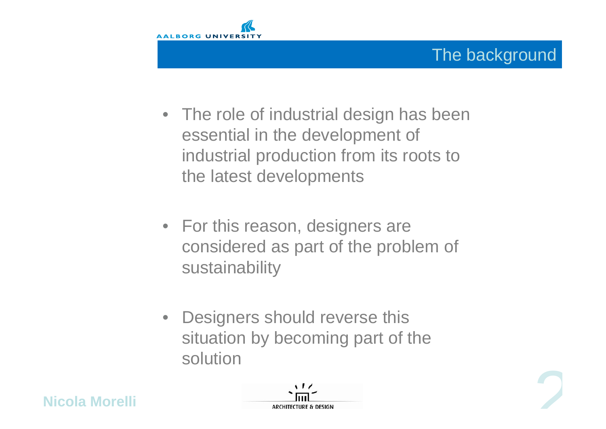

- The role of industrial design has been essential in the development of industrial production from its roots to the latest developments
- For this reason, designers are considered as part of the problem of sustainability
- Designers should reverse this situation by becoming part of the solution





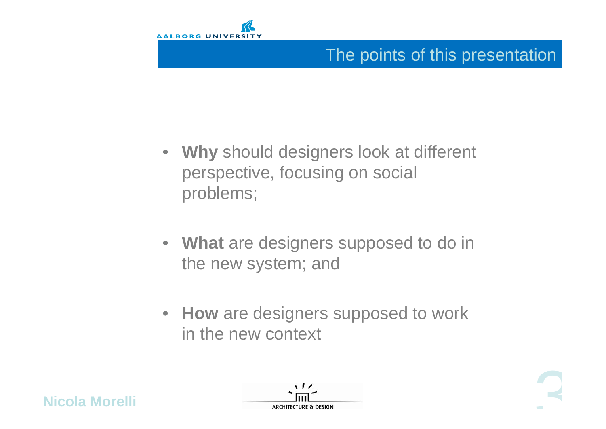

## The points of this presentation

- **Why** should designers look at different perspective, focusing on social problems;
- **What** are designers supposed to do in the new system; and
- **How** are designers supposed to work in the new context



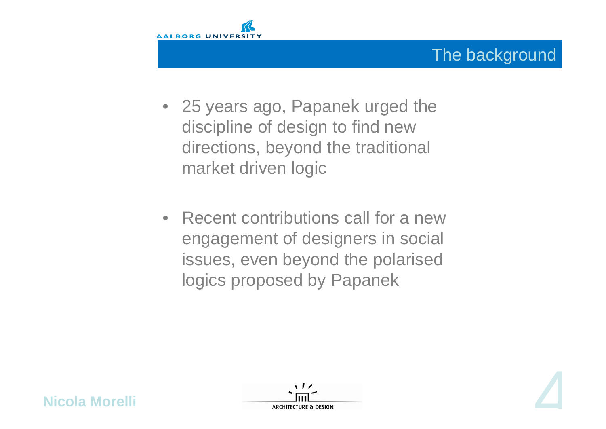

## The background

- 25 years ago, Papanek urged the discipline of design to find new directions, beyond the traditional market driven logic
- Recent contributions call for a new engagement of designers in social issues, even beyond the polarised logics proposed by Papanek





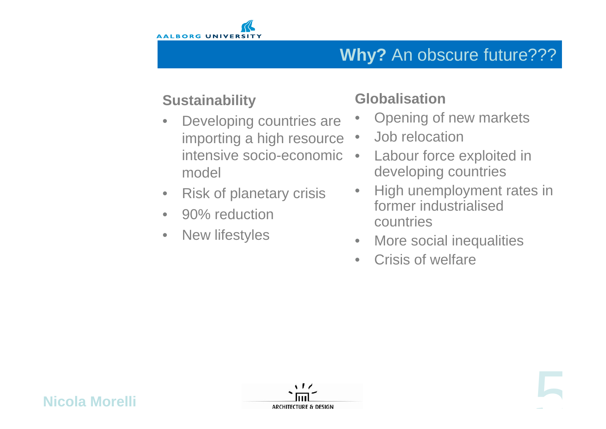

## **Why?** An obscure future???

#### **Sustainability**

- Developing countries are importing a high resource intensive socio-economic model
- Risk of planetary crisis
- 90% reduction
- New lifestyles

## **Globalisation**

- Opening of new markets
- Job relocation
- Labour force exploited in developing countries
- High unemployment rates in former industrialised countries
- More social inequalities
- Crisis of welfare



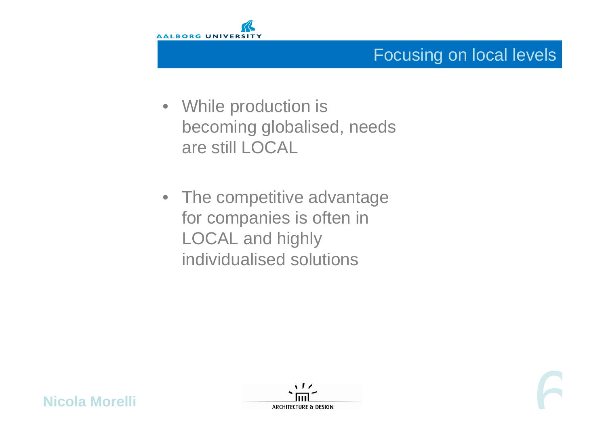

### Focusing on local levels

- While production is becoming globalised, needs are still LOCAL
- The competitive advantage for companies is often in LOCAL and highly individualised solutions



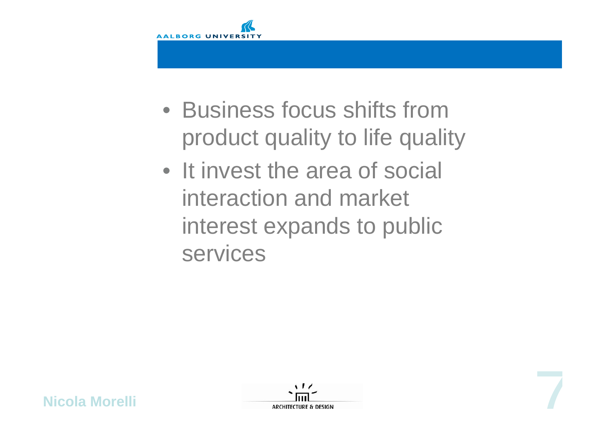

- Business focus shifts from product quality to life quality
- It invest the area of social interaction and market interest expands to public services



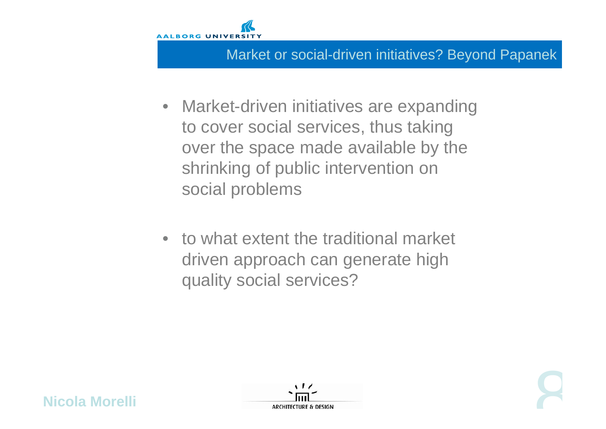

#### Market or social-driven initiatives? Beyond Papanek

- Market-driven initiatives are expanding to cover social services, thus taking over the space made available by the shrinking of public intervention on social problems
- to what extent the traditional market driven approach can generate high quality social services?





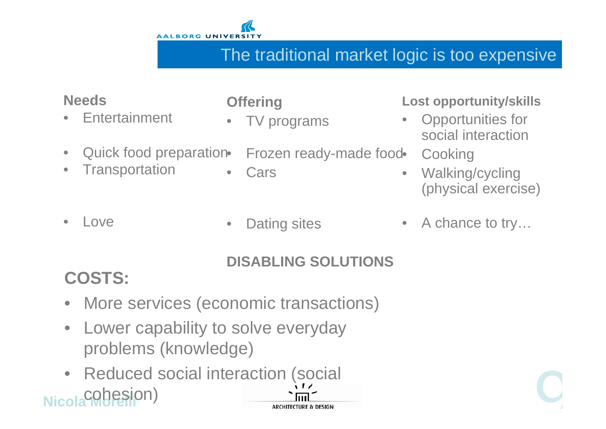

## The traditional market logic is too expensive

#### **Needs**

**Entertainment** 

**Transportation** 

#### **Offering**

**Cars** 

• TV programs

#### **Lost opportunity/skills**

- Frozen ready-made food • Opportunities for social interaction**Cooking** 
	- Walking/cycling (physical exercise)

• Love

Quick food preparation.

• Dating sites

• A chance to try…

#### **DISABLING SOLUTIONS**

## **COSTS:**

- More services (economic transactions)
- Lower capability to solve everyday problems (knowledge)
- **Nicola Cobesion**) • Reduced social interaction (social experience of the contraction of the contraction of the contraction of the contraction of the contraction of the contraction of the contraction of the contraction of the contraction of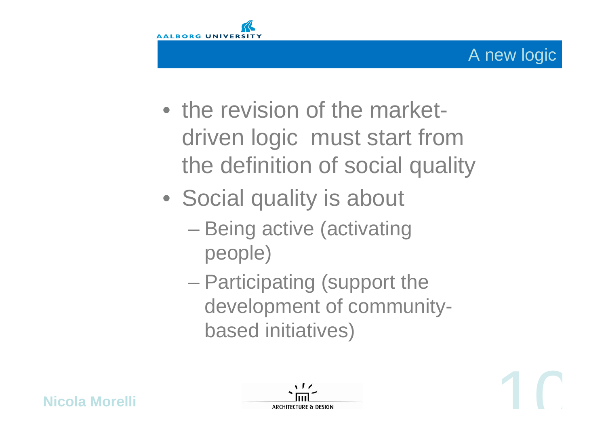

- the revision of the marketdriven logic must start from the definition of social quality
- Social quality is about
	- Being active (activating people)
	- Participating (support the development of communitybased initiatives)



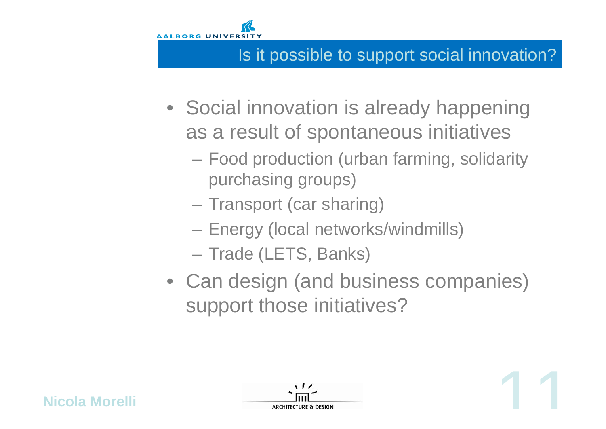

**Nicola Morelli**

## Is it possible to support social innovation?

- Social innovation is already happening as a result of spontaneous initiatives
	- Food production (urban farming, solidarity purchasing groups)
	- Transport (car sharing)
	- Energy (local networks/windmills)
	- Trade (LETS, Banks)
- Can design (and business companies) support those initiatives?

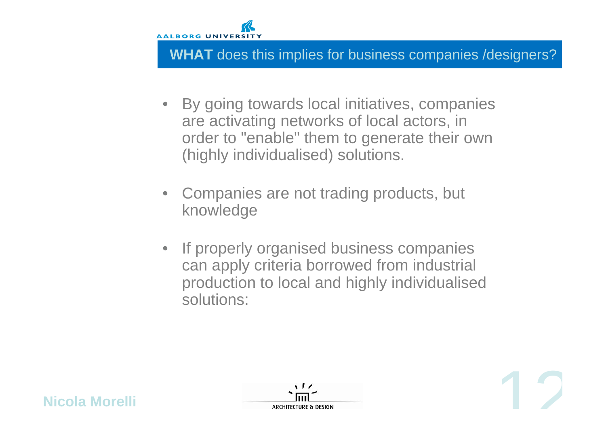

#### **WHAT** does this implies for business companies /designers?

- By going towards local initiatives, companies are activating networks of local actors, in order to "enable" them to generate their own (highly individualised) solutions.
- Companies are not trading products, but knowledge
- If properly organised business companies can apply criteria borrowed from industrial production to local and highly individualised solutions:





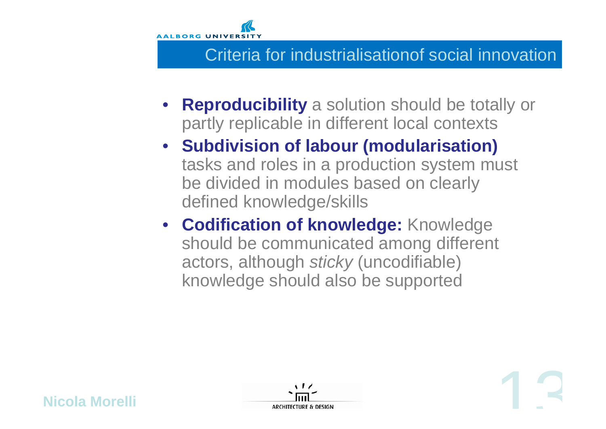

#### Criteria for industrialisationof social innovation

- **Reproducibility** a solution should be totally or partly replicable in different local contexts
- **Subdivision of labour (modularisation)**  tasks and roles in a production system must be divided in modules based on clearly defined knowledge/skills
- **Codification of knowledge:** Knowledge should be communicated among different actors, although *sticky* (uncodifiable) knowledge should also be supported



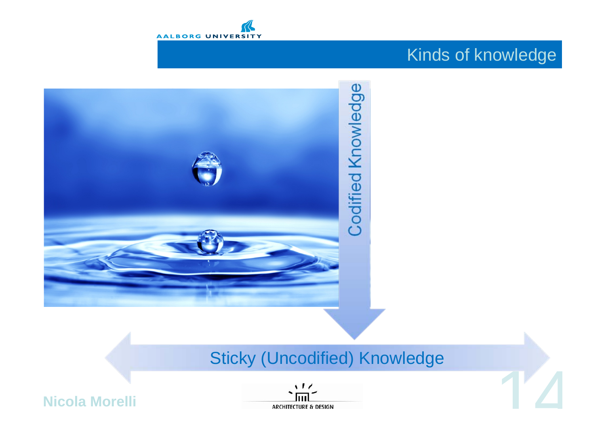

## Kinds of knowledge



## Sticky (Uncodified) Knowledge



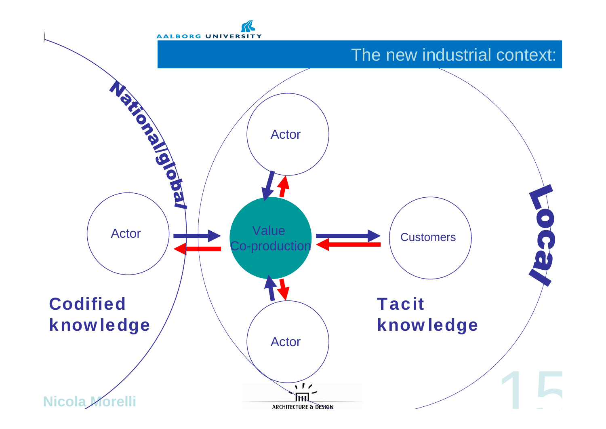

#### The new industrial context:

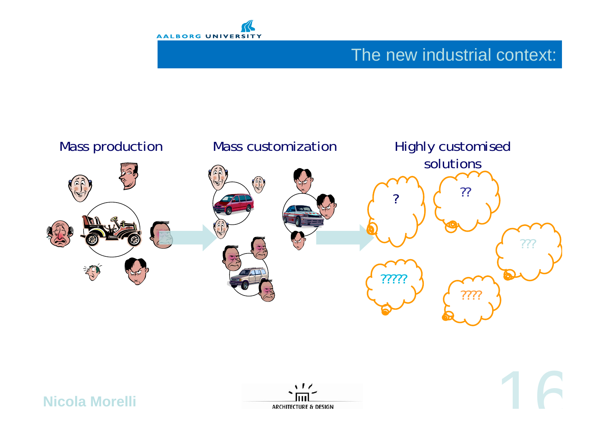

## The new industrial context:





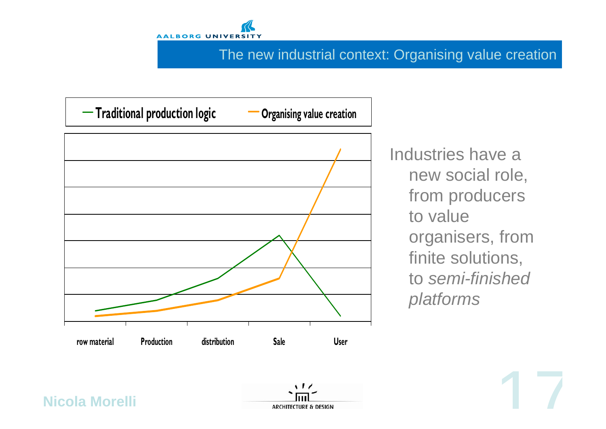

#### The new industrial context: Organising value creation



Industries have a new social role, from producers to value organisers, from finite solutions, to *semi-finished platforms*

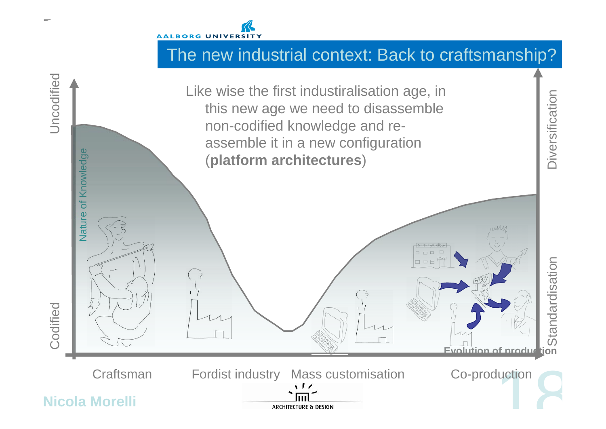

## The new industrial context: Back to craftsmanship?

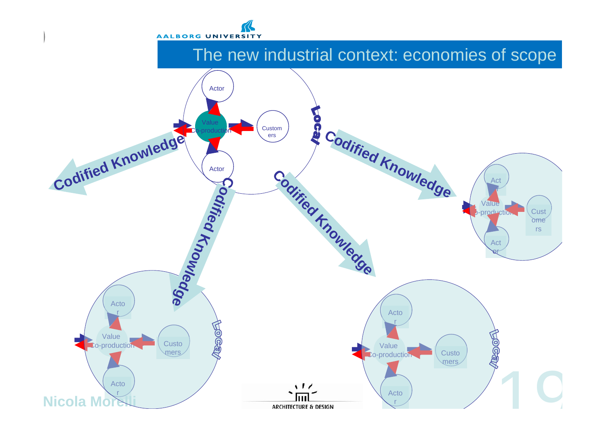

#### The new industrial context: economies of scope

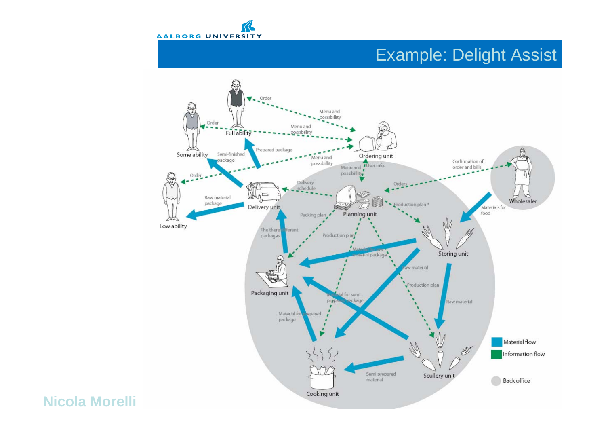

#### Example: Delight Assist

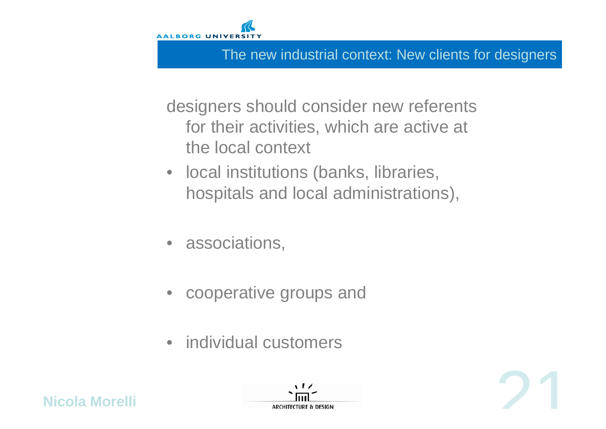

#### The new industrial context: New clients for designers

designers should consider new referents for their activities, which are active at the local context

- local institutions (banks, libraries, hospitals and local administrations),
- associations,
- cooperative groups and
- individual customers



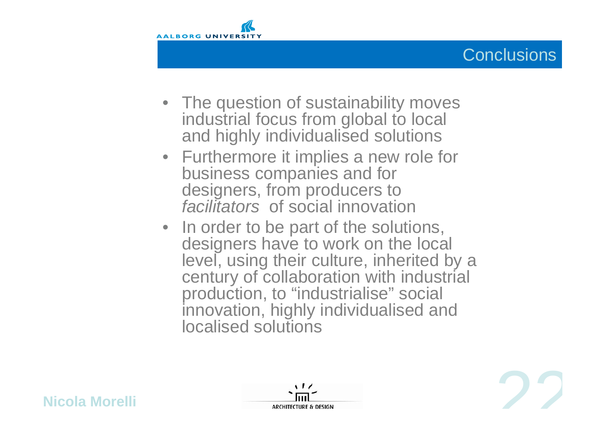



- The question of sustainability moves industrial focus from global to local and highly individualised solutions
- Furthermore it implies a new role for business companies and for designers, from producers to *facilitators* of social innovation
- In order to be part of the solutions, designers have to work on the local level, using their culture, inherited by a century of collaboration with industrial production, to "industrialise" social innovation, highly individualised and localised solutions